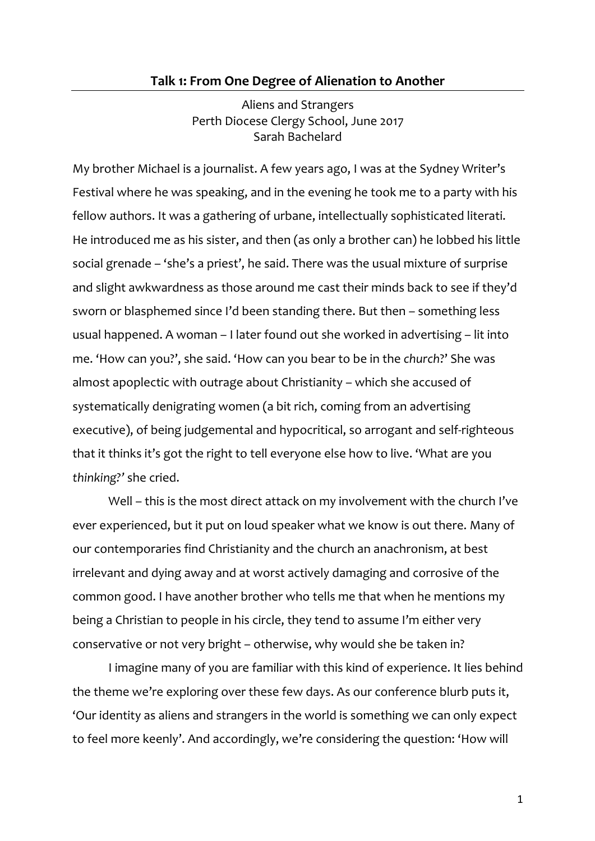# **Talk 1: From One Degree of Alienation to Another**

Aliens and Strangers Perth Diocese Clergy School, June 2017 Sarah Bachelard

My brother Michael is a journalist. A few years ago, I was at the Sydney Writer's Festival where he was speaking, and in the evening he took me to a party with his fellow authors. It was a gathering of urbane, intellectually sophisticated literati. He introduced me as his sister, and then (as only a brother can) he lobbed his little social grenade – 'she's a priest', he said. There was the usual mixture of surprise and slight awkwardness as those around me cast their minds back to see if they'd sworn or blasphemed since I'd been standing there. But then – something less usual happened. A woman – I later found out she worked in advertising – lit into me. 'How can you?', she said. 'How can you bear to be in the *church*?' She was almost apoplectic with outrage about Christianity – which she accused of systematically denigrating women (a bit rich, coming from an advertising executive), of being judgemental and hypocritical, so arrogant and self-righteous that it thinks it's got the right to tell everyone else how to live. 'What are you *thinking?'* she cried.

Well – this is the most direct attack on my involvement with the church I've ever experienced, but it put on loud speaker what we know is out there. Many of our contemporaries find Christianity and the church an anachronism, at best irrelevant and dying away and at worst actively damaging and corrosive of the common good. I have another brother who tells me that when he mentions my being a Christian to people in his circle, they tend to assume I'm either very conservative or not very bright – otherwise, why would she be taken in?

I imagine many of you are familiar with this kind of experience. It lies behind the theme we're exploring over these few days. As our conference blurb puts it, 'Our identity as aliens and strangers in the world is something we can only expect to feel more keenly'. And accordingly, we're considering the question: 'How will

1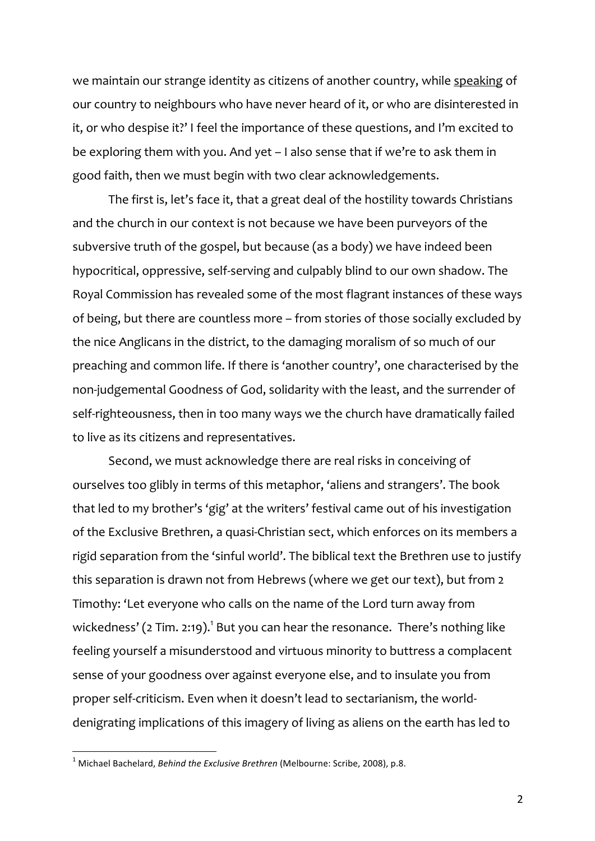we maintain our strange identity as citizens of another country, while speaking of our country to neighbours who have never heard of it, or who are disinterested in it, or who despise it?' I feel the importance of these questions, and I'm excited to be exploring them with you. And yet – I also sense that if we're to ask them in good faith, then we must begin with two clear acknowledgements.

The first is, let's face it, that a great deal of the hostility towards Christians and the church in our context is not because we have been purveyors of the subversive truth of the gospel, but because (as a body) we have indeed been hypocritical, oppressive, self-serving and culpably blind to our own shadow. The Royal Commission has revealed some of the most flagrant instances of these ways of being, but there are countless more – from stories of those socially excluded by the nice Anglicans in the district, to the damaging moralism of so much of our preaching and common life. If there is 'another country', one characterised by the non-judgemental Goodness of God, solidarity with the least, and the surrender of self-righteousness, then in too many ways we the church have dramatically failed to live as its citizens and representatives.

Second, we must acknowledge there are real risks in conceiving of ourselves too glibly in terms of this metaphor, 'aliens and strangers'. The book that led to my brother's 'gig' at the writers' festival came out of his investigation of the Exclusive Brethren, a quasi-Christian sect, which enforces on its members a rigid separation from the 'sinful world'. The biblical text the Brethren use to justify this separation is drawn not from Hebrews (where we get our text), but from 2 Timothy: 'Let everyone who calls on the name of the Lord turn away from wickedness' (2 Tim. 2:19). $^1$  But you can hear the resonance. There's nothing like feeling yourself a misunderstood and virtuous minority to buttress a complacent sense of your goodness over against everyone else, and to insulate you from proper self-criticism. Even when it doesn't lead to sectarianism, the worlddenigrating implications of this imagery of living as aliens on the earth has led to

<sup>&</sup>lt;sup>1</sup> Michael Bachelard, *Behind the Exclusive Brethren* (Melbourne: Scribe, 2008), p.8.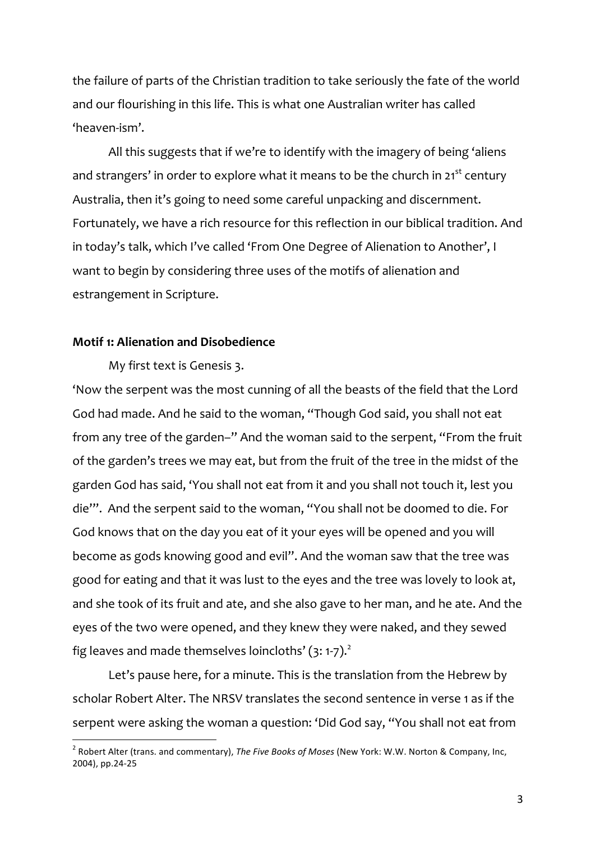the failure of parts of the Christian tradition to take seriously the fate of the world and our flourishing in this life. This is what one Australian writer has called 'heaven-ism'.

All this suggests that if we're to identify with the imagery of being 'aliens and strangers' in order to explore what it means to be the church in  $21^{st}$  century Australia, then it's going to need some careful unpacking and discernment. Fortunately, we have a rich resource for this reflection in our biblical tradition. And in today's talk, which I've called 'From One Degree of Alienation to Another', I want to begin by considering three uses of the motifs of alienation and estrangement in Scripture.

### **Motif 1: Alienation and Disobedience**

My first text is Genesis 3.

'Now the serpent was the most cunning of all the beasts of the field that the Lord God had made. And he said to the woman, "Though God said, you shall not eat from any tree of the garden–" And the woman said to the serpent, "From the fruit of the garden's trees we may eat, but from the fruit of the tree in the midst of the garden God has said, 'You shall not eat from it and you shall not touch it, lest you die'". And the serpent said to the woman, "You shall not be doomed to die. For God knows that on the day you eat of it your eyes will be opened and you will become as gods knowing good and evil". And the woman saw that the tree was good for eating and that it was lust to the eyes and the tree was lovely to look at, and she took of its fruit and ate, and she also gave to her man, and he ate. And the eyes of the two were opened, and they knew they were naked, and they sewed fig leaves and made themselves loincloths'  $(3: 1-7)$ .

Let's pause here, for a minute. This is the translation from the Hebrew by scholar Robert Alter. The NRSV translates the second sentence in verse 1 as if the serpent were asking the woman a question: 'Did God say, "You shall not eat from

<sup>&</sup>lt;sup>2</sup> Robert Alter (trans. and commentary), *The Five Books of Moses* (New York: W.W. Norton & Company, Inc, 2004), pp.24-25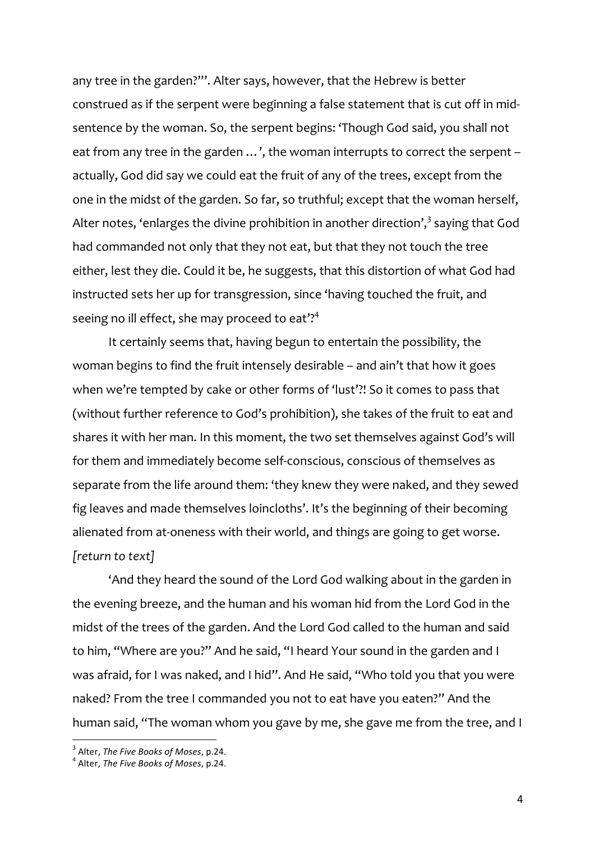any tree in the garden?"'. Alter says, however, that the Hebrew is better construed as if the serpent were beginning a false statement that is cut off in midsentence by the woman. So, the serpent begins: 'Though God said, you shall not eat from any tree in the garden ...', the woman interrupts to correct the serpent – actually, God did say we could eat the fruit of any of the trees, except from the one in the midst of the garden. So far, so truthful; except that the woman herself, Alter notes, 'enlarges the divine prohibition in another direction',<sup>3</sup> saying that God had commanded not only that they not eat, but that they not touch the tree either, lest they die. Could it be, he suggests, that this distortion of what God had instructed sets her up for transgression, since 'having touched the fruit, and seeing no ill effect, she may proceed to eat'?<sup>4</sup>

It certainly seems that, having begun to entertain the possibility, the woman begins to find the fruit intensely desirable – and ain't that how it goes when we're tempted by cake or other forms of 'lust'?! So it comes to pass that (without further reference to God's prohibition), she takes of the fruit to eat and shares it with her man. In this moment, the two set themselves against God's will for them and immediately become self-conscious, conscious of themselves as separate from the life around them: 'they knew they were naked, and they sewed fig leaves and made themselves loincloths'. It's the beginning of their becoming alienated from at-oneness with their world, and things are going to get worse. *[return to text]*

'And they heard the sound of the Lord God walking about in the garden in the evening breeze, and the human and his woman hid from the Lord God in the midst of the trees of the garden. And the Lord God called to the human and said to him, "Where are you?" And he said, "I heard Your sound in the garden and I was afraid, for I was naked, and I hid". And He said, "Who told you that you were naked? From the tree I commanded you not to eat have you eaten?" And the human said, "The woman whom you gave by me, she gave me from the tree, and I

<sup>&</sup>lt;sup>3</sup> Alter, *The Five Books of Moses*, p.24.<br><sup>4</sup> Alter, *The Five Books of Moses*, p.24.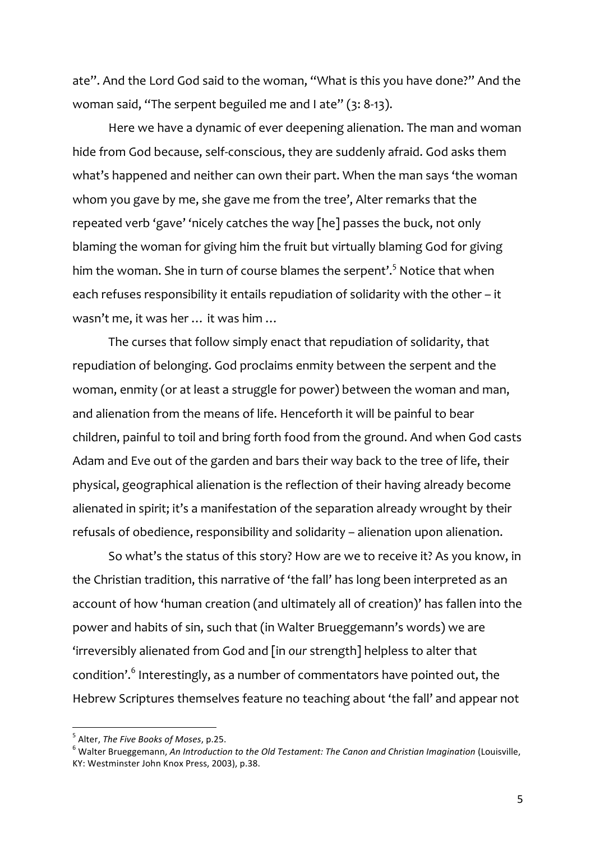ate". And the Lord God said to the woman, "What is this you have done?" And the woman said, "The serpent beguiled me and I ate" (3: 8-13).

Here we have a dynamic of ever deepening alienation. The man and woman hide from God because, self-conscious, they are suddenly afraid. God asks them what's happened and neither can own their part. When the man says 'the woman whom you gave by me, she gave me from the tree', Alter remarks that the repeated verb 'gave' 'nicely catches the way [he] passes the buck, not only blaming the woman for giving him the fruit but virtually blaming God for giving him the woman. She in turn of course blames the serpent'.<sup>5</sup> Notice that when each refuses responsibility it entails repudiation of solidarity with the other – it wasn't me, it was her … it was him …

The curses that follow simply enact that repudiation of solidarity, that repudiation of belonging. God proclaims enmity between the serpent and the woman, enmity (or at least a struggle for power) between the woman and man, and alienation from the means of life. Henceforth it will be painful to bear children, painful to toil and bring forth food from the ground. And when God casts Adam and Eve out of the garden and bars their way back to the tree of life, their physical, geographical alienation is the reflection of their having already become alienated in spirit; it's a manifestation of the separation already wrought by their refusals of obedience, responsibility and solidarity – alienation upon alienation.

So what's the status of this story? How are we to receive it? As you know, in the Christian tradition, this narrative of 'the fall' has long been interpreted as an account of how 'human creation (and ultimately all of creation)' has fallen into the power and habits of sin, such that (in Walter Brueggemann's words) we are 'irreversibly alienated from God and [in *our* strength] helpless to alter that condition'. <sup>6</sup> Interestingly, as a number of commentators have pointed out, the Hebrew Scriptures themselves feature no teaching about 'the fall' and appear not

<sup>&</sup>lt;sup>5</sup> Alter, *The Five Books of Moses*, p.25.<br><sup>6</sup> Walter Brueggemann, *An Introduction to the Old Testament: The Canon and Christian Imagination* (Louisville, KY: Westminster John Knox Press, 2003), p.38.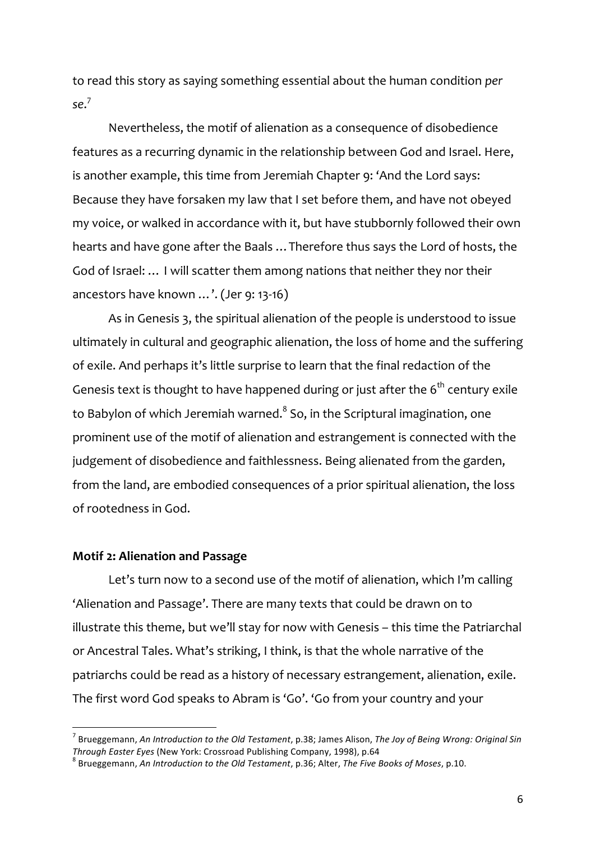to read this story as saying something essential about the human condition *per se*. 7

Nevertheless, the motif of alienation as a consequence of disobedience features as a recurring dynamic in the relationship between God and Israel. Here, is another example, this time from Jeremiah Chapter 9: 'And the Lord says: Because they have forsaken my law that I set before them, and have not obeyed my voice, or walked in accordance with it, but have stubbornly followed their own hearts and have gone after the Baals …Therefore thus says the Lord of hosts, the God of Israel: … I will scatter them among nations that neither they nor their ancestors have known …'. (Jer 9: 13-16)

As in Genesis 3, the spiritual alienation of the people is understood to issue ultimately in cultural and geographic alienation, the loss of home and the suffering of exile. And perhaps it's little surprise to learn that the final redaction of the Genesis text is thought to have happened during or just after the  $6<sup>th</sup>$  century exile to Babylon of which Jeremiah warned. $^8$  So, in the Scriptural imagination, one prominent use of the motif of alienation and estrangement is connected with the judgement of disobedience and faithlessness. Being alienated from the garden, from the land, are embodied consequences of a prior spiritual alienation, the loss of rootedness in God.

## **Motif 2: Alienation and Passage**

Let's turn now to a second use of the motif of alienation, which I'm calling 'Alienation and Passage'. There are many texts that could be drawn on to illustrate this theme, but we'll stay for now with Genesis – this time the Patriarchal or Ancestral Tales. What's striking, I think, is that the whole narrative of the patriarchs could be read as a history of necessary estrangement, alienation, exile. The first word God speaks to Abram is 'Go'. 'Go from your country and your

Brueggemann, An Introduction to the Old Testament, p.38; James Alison, The Joy of Being Wrong: Original Sin *Through Easter Eyes* (New York: Crossroad Publishing Company, 1998), p.64<br><sup>8</sup> Brueggemann, *An Introduction to the Old Testament*, p.36; Alter, *The Five Books of Moses*, p.10.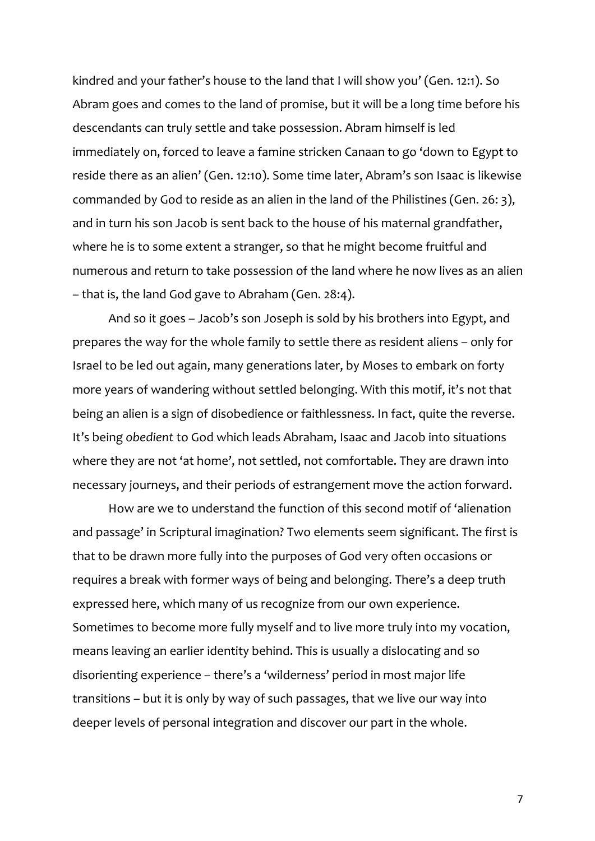kindred and your father's house to the land that I will show you' (Gen. 12:1). So Abram goes and comes to the land of promise, but it will be a long time before his descendants can truly settle and take possession. Abram himself is led immediately on, forced to leave a famine stricken Canaan to go 'down to Egypt to reside there as an alien' (Gen. 12:10). Some time later, Abram's son Isaac is likewise commanded by God to reside as an alien in the land of the Philistines (Gen. 26: 3), and in turn his son Jacob is sent back to the house of his maternal grandfather, where he is to some extent a stranger, so that he might become fruitful and numerous and return to take possession of the land where he now lives as an alien – that is, the land God gave to Abraham (Gen. 28:4).

And so it goes – Jacob's son Joseph is sold by his brothers into Egypt, and prepares the way for the whole family to settle there as resident aliens – only for Israel to be led out again, many generations later, by Moses to embark on forty more years of wandering without settled belonging. With this motif, it's not that being an alien is a sign of disobedience or faithlessness. In fact, quite the reverse. It's being *obedient* to God which leads Abraham, Isaac and Jacob into situations where they are not 'at home', not settled, not comfortable. They are drawn into necessary journeys, and their periods of estrangement move the action forward.

How are we to understand the function of this second motif of 'alienation and passage' in Scriptural imagination? Two elements seem significant. The first is that to be drawn more fully into the purposes of God very often occasions or requires a break with former ways of being and belonging. There's a deep truth expressed here, which many of us recognize from our own experience. Sometimes to become more fully myself and to live more truly into my vocation, means leaving an earlier identity behind. This is usually a dislocating and so disorienting experience – there's a 'wilderness' period in most major life transitions – but it is only by way of such passages, that we live our way into deeper levels of personal integration and discover our part in the whole.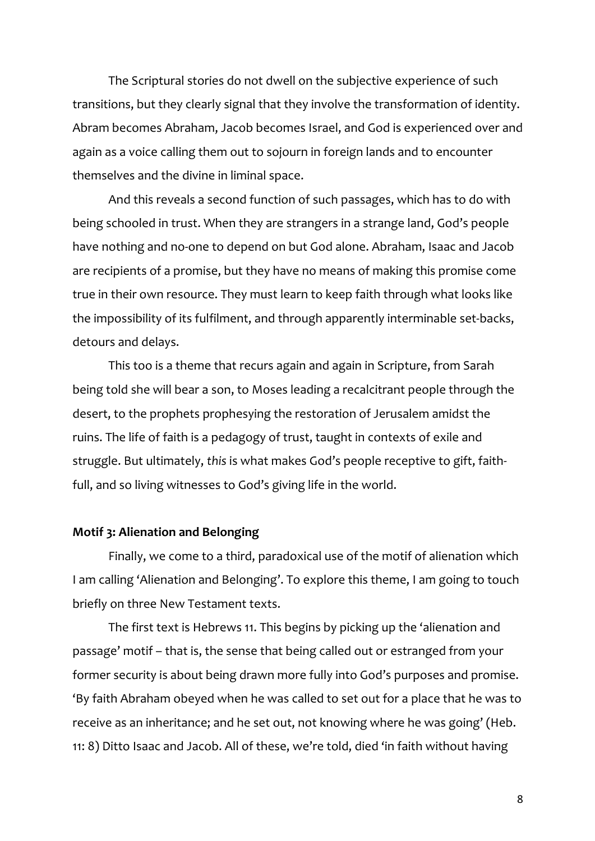The Scriptural stories do not dwell on the subjective experience of such transitions, but they clearly signal that they involve the transformation of identity. Abram becomes Abraham, Jacob becomes Israel, and God is experienced over and again as a voice calling them out to sojourn in foreign lands and to encounter themselves and the divine in liminal space.

And this reveals a second function of such passages, which has to do with being schooled in trust. When they are strangers in a strange land, God's people have nothing and no-one to depend on but God alone. Abraham, Isaac and Jacob are recipients of a promise, but they have no means of making this promise come true in their own resource. They must learn to keep faith through what looks like the impossibility of its fulfilment, and through apparently interminable set-backs, detours and delays.

This too is a theme that recurs again and again in Scripture, from Sarah being told she will bear a son, to Moses leading a recalcitrant people through the desert, to the prophets prophesying the restoration of Jerusalem amidst the ruins. The life of faith is a pedagogy of trust, taught in contexts of exile and struggle. But ultimately, *this* is what makes God's people receptive to gift, faithfull, and so living witnesses to God's giving life in the world.

#### **Motif 3: Alienation and Belonging**

Finally, we come to a third, paradoxical use of the motif of alienation which I am calling 'Alienation and Belonging'. To explore this theme, I am going to touch briefly on three New Testament texts.

The first text is Hebrews 11. This begins by picking up the 'alienation and passage' motif – that is, the sense that being called out or estranged from your former security is about being drawn more fully into God's purposes and promise. 'By faith Abraham obeyed when he was called to set out for a place that he was to receive as an inheritance; and he set out, not knowing where he was going' (Heb. 11: 8) Ditto Isaac and Jacob. All of these, we're told, died 'in faith without having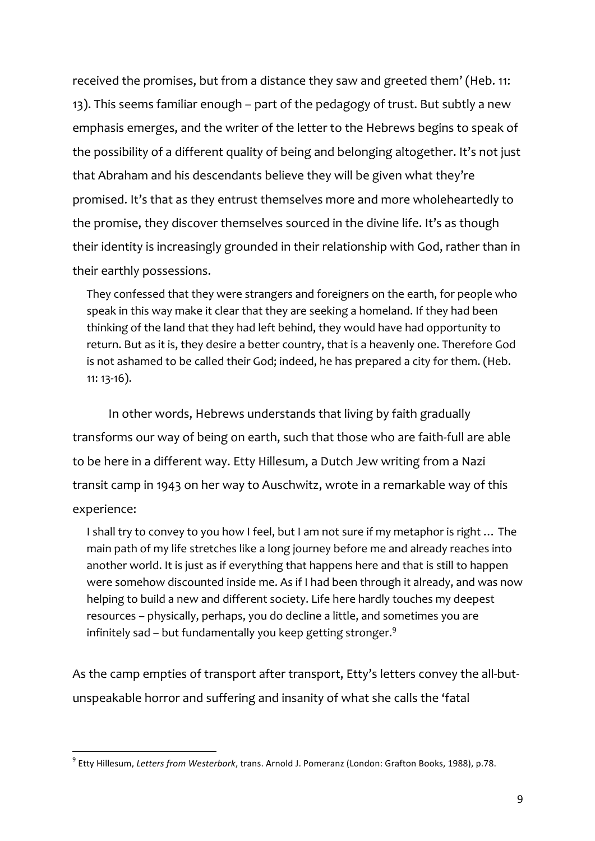received the promises, but from a distance they saw and greeted them' (Heb. 11: 13). This seems familiar enough – part of the pedagogy of trust. But subtly a new emphasis emerges, and the writer of the letter to the Hebrews begins to speak of the possibility of a different quality of being and belonging altogether. It's not just that Abraham and his descendants believe they will be given what they're promised. It's that as they entrust themselves more and more wholeheartedly to the promise, they discover themselves sourced in the divine life. It's as though their identity is increasingly grounded in their relationship with God, rather than in their earthly possessions.

They confessed that they were strangers and foreigners on the earth, for people who speak in this way make it clear that they are seeking a homeland. If they had been thinking of the land that they had left behind, they would have had opportunity to return. But as it is, they desire a better country, that is a heavenly one. Therefore God is not ashamed to be called their God; indeed, he has prepared a city for them. (Heb. 11: 13-16).

In other words, Hebrews understands that living by faith gradually transforms our way of being on earth, such that those who are faith-full are able to be here in a different way. Etty Hillesum, a Dutch Jew writing from a Nazi transit camp in 1943 on her way to Auschwitz, wrote in a remarkable way of this experience:

I shall try to convey to you how I feel, but I am not sure if my metaphor is right … The main path of my life stretches like a long journey before me and already reaches into another world. It is just as if everything that happens here and that is still to happen were somehow discounted inside me. As if I had been through it already, and was now helping to build a new and different society. Life here hardly touches my deepest resources – physically, perhaps, you do decline a little, and sometimes you are infinitely sad – but fundamentally you keep getting stronger. $9$ 

As the camp empties of transport after transport, Etty's letters convey the all-butunspeakable horror and suffering and insanity of what she calls the 'fatal

<sup>&</sup>lt;sup>9</sup> Etty Hillesum, Letters from Westerbork, trans. Arnold J. Pomeranz (London: Grafton Books, 1988), p.78.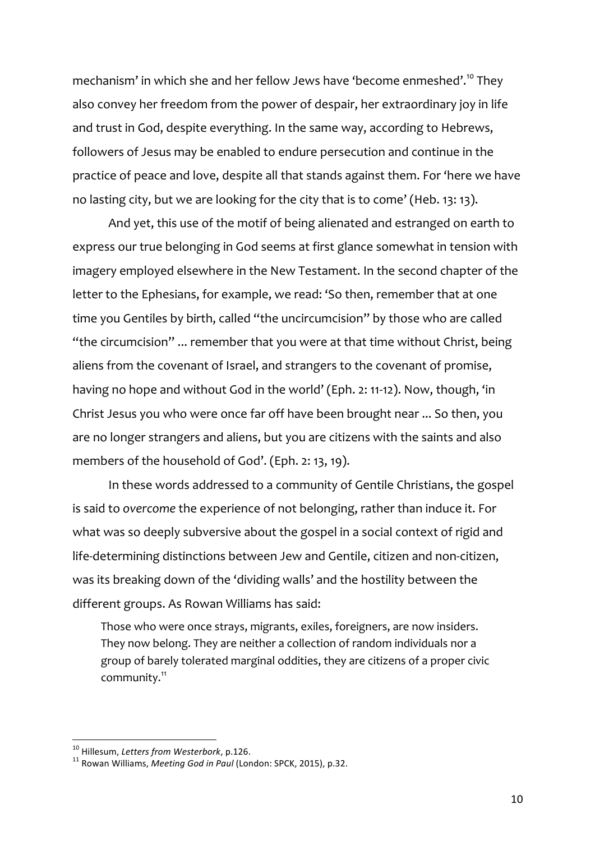mechanism' in which she and her fellow Jews have 'become enmeshed'.<sup>10</sup> They also convey her freedom from the power of despair, her extraordinary joy in life and trust in God, despite everything. In the same way, according to Hebrews, followers of Jesus may be enabled to endure persecution and continue in the practice of peace and love, despite all that stands against them. For 'here we have no lasting city, but we are looking for the city that is to come' (Heb. 13: 13).

And yet, this use of the motif of being alienated and estranged on earth to express our true belonging in God seems at first glance somewhat in tension with imagery employed elsewhere in the New Testament. In the second chapter of the letter to the Ephesians, for example, we read: 'So then, remember that at one time you Gentiles by birth, called "the uncircumcision" by those who are called "the circumcision" ... remember that you were at that time without Christ, being aliens from the covenant of Israel, and strangers to the covenant of promise, having no hope and without God in the world' (Eph. 2: 11-12). Now, though, 'in Christ Jesus you who were once far off have been brought near ... So then, you are no longer strangers and aliens, but you are citizens with the saints and also members of the household of God'. (Eph. 2: 13, 19).

In these words addressed to a community of Gentile Christians, the gospel is said to *overcome* the experience of not belonging, rather than induce it. For what was so deeply subversive about the gospel in a social context of rigid and life-determining distinctions between Jew and Gentile, citizen and non-citizen, was its breaking down of the 'dividing walls' and the hostility between the different groups. As Rowan Williams has said:

Those who were once strays, migrants, exiles, foreigners, are now insiders. They now belong. They are neither a collection of random individuals nor a group of barely tolerated marginal oddities, they are citizens of a proper civic community.<sup>11</sup>

<sup>&</sup>lt;sup>10</sup> Hillesum, *Letters from Westerbork*, p.126.<br><sup>11</sup> Rowan Williams, *Meeting God in Paul* (London: SPCK, 2015), p.32.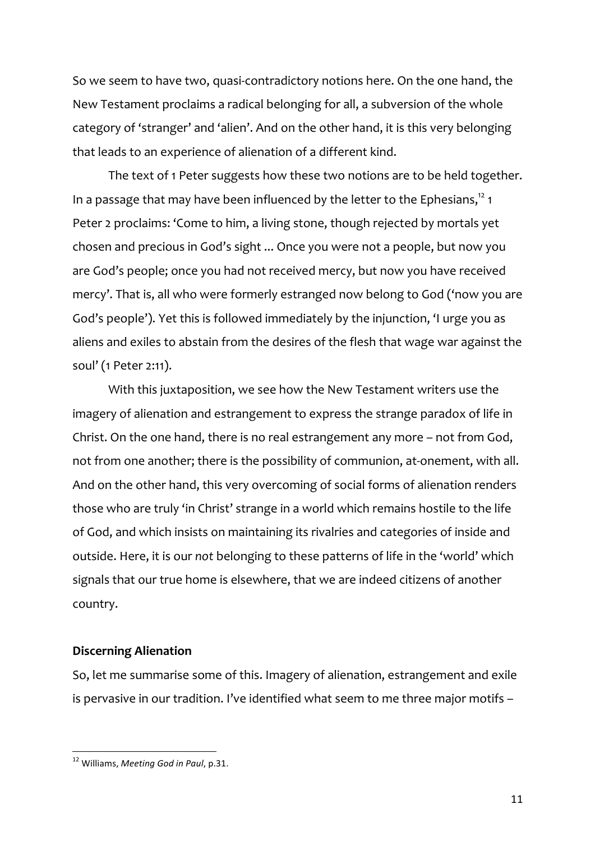So we seem to have two, quasi-contradictory notions here. On the one hand, the New Testament proclaims a radical belonging for all, a subversion of the whole category of 'stranger' and 'alien'. And on the other hand, it is this very belonging that leads to an experience of alienation of a different kind.

The text of 1 Peter suggests how these two notions are to be held together. In a passage that may have been influenced by the letter to the Ephesians,<sup>12</sup> 1 Peter 2 proclaims: 'Come to him, a living stone, though rejected by mortals yet chosen and precious in God's sight ... Once you were not a people, but now you are God's people; once you had not received mercy, but now you have received mercy'. That is, all who were formerly estranged now belong to God ('now you are God's people'). Yet this is followed immediately by the injunction, 'I urge you as aliens and exiles to abstain from the desires of the flesh that wage war against the soul' (1 Peter 2:11).

With this juxtaposition, we see how the New Testament writers use the imagery of alienation and estrangement to express the strange paradox of life in Christ. On the one hand, there is no real estrangement any more – not from God, not from one another; there is the possibility of communion, at-onement, with all. And on the other hand, this very overcoming of social forms of alienation renders those who are truly 'in Christ' strange in a world which remains hostile to the life of God, and which insists on maintaining its rivalries and categories of inside and outside. Here, it is our *not* belonging to these patterns of life in the 'world' which signals that our true home is elsewhere, that we are indeed citizens of another country.

# **Discerning Alienation**

So, let me summarise some of this. Imagery of alienation, estrangement and exile is pervasive in our tradition. I've identified what seem to me three major motifs –

<sup>&</sup>lt;sup>12</sup> Williams, *Meeting God in Paul*, p.31.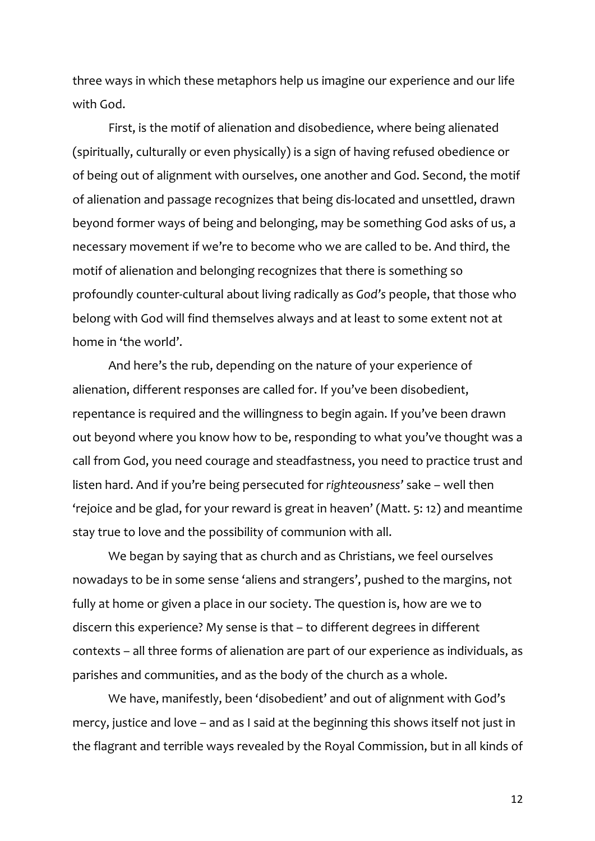three ways in which these metaphors help us imagine our experience and our life with God.

First, is the motif of alienation and disobedience, where being alienated (spiritually, culturally or even physically) is a sign of having refused obedience or of being out of alignment with ourselves, one another and God. Second, the motif of alienation and passage recognizes that being dis-located and unsettled, drawn beyond former ways of being and belonging, may be something God asks of us, a necessary movement if we're to become who we are called to be. And third, the motif of alienation and belonging recognizes that there is something so profoundly counter-cultural about living radically as *God's* people, that those who belong with God will find themselves always and at least to some extent not at home in 'the world'.

And here's the rub, depending on the nature of your experience of alienation, different responses are called for. If you've been disobedient, repentance is required and the willingness to begin again. If you've been drawn out beyond where you know how to be, responding to what you've thought was a call from God, you need courage and steadfastness, you need to practice trust and listen hard. And if you're being persecuted for *righteousness'* sake – well then 'rejoice and be glad, for your reward is great in heaven' (Matt. 5: 12) and meantime stay true to love and the possibility of communion with all.

We began by saying that as church and as Christians, we feel ourselves nowadays to be in some sense 'aliens and strangers', pushed to the margins, not fully at home or given a place in our society. The question is, how are we to discern this experience? My sense is that – to different degrees in different contexts – all three forms of alienation are part of our experience as individuals, as parishes and communities, and as the body of the church as a whole.

We have, manifestly, been 'disobedient' and out of alignment with God's mercy, justice and love – and as I said at the beginning this shows itself not just in the flagrant and terrible ways revealed by the Royal Commission, but in all kinds of

12